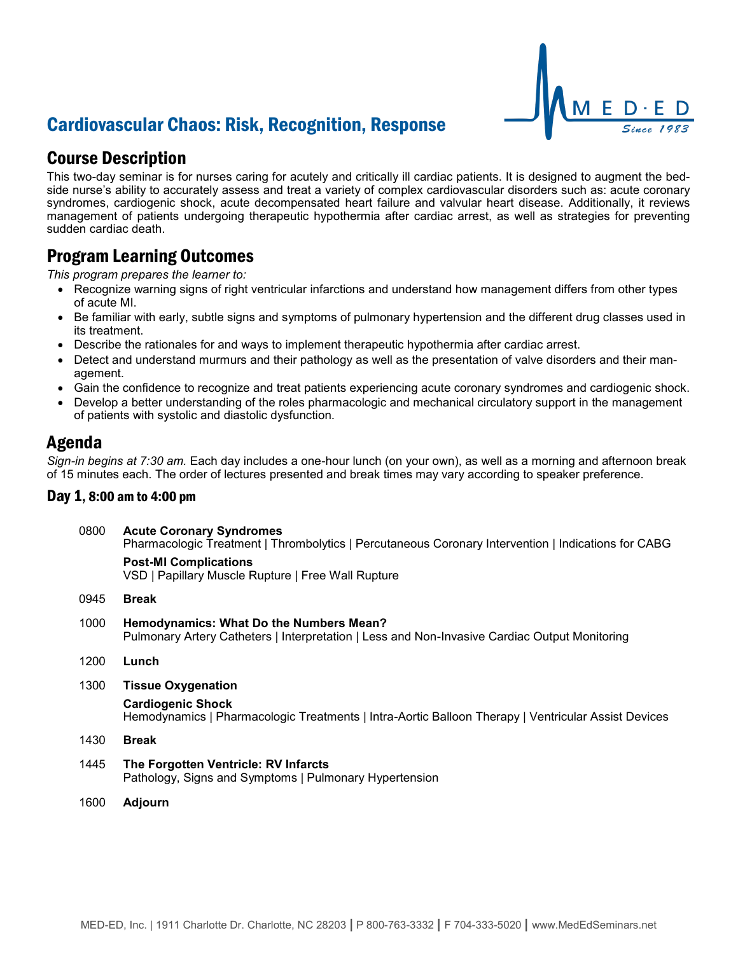# Cardiovascular Chaos: Risk, Recognition, Response

## Course Description

This two-day seminar is for nurses caring for acutely and critically ill cardiac patients. It is designed to augment the bedside nurse's ability to accurately assess and treat a variety of complex cardiovascular disorders such as: acute coronary syndromes, cardiogenic shock, acute decompensated heart failure and valvular heart disease. Additionally, it reviews management of patients undergoing therapeutic hypothermia after cardiac arrest, as well as strategies for preventing sudden cardiac death.

### Program Learning Outcomes

*This program prepares the learner to:*

- Recognize warning signs of right ventricular infarctions and understand how management differs from other types of acute MI.
- Be familiar with early, subtle signs and symptoms of pulmonary hypertension and the different drug classes used in its treatment.
- Describe the rationales for and ways to implement therapeutic hypothermia after cardiac arrest.
- Detect and understand murmurs and their pathology as well as the presentation of valve disorders and their management.
- Gain the confidence to recognize and treat patients experiencing acute coronary syndromes and cardiogenic shock.
- Develop a better understanding of the roles pharmacologic and mechanical circulatory support in the management of patients with systolic and diastolic dysfunction.

### Agenda

*Sign-in begins at 7:30 am.* Each day includes a one-hour lunch (on your own), as well as a morning and afternoon break of 15 minutes each. The order of lectures presented and break times may vary according to speaker preference.

### Day 1, 8:00 am to 4:00 pm

| 0800 | <b>Acute Coronary Syndromes</b><br>Pharmacologic Treatment   Thrombolytics   Percutaneous Coronary Intervention   Indications for CABG   |
|------|------------------------------------------------------------------------------------------------------------------------------------------|
|      | <b>Post-MI Complications</b><br>VSD   Papillary Muscle Rupture   Free Wall Rupture                                                       |
| 0945 | <b>Break</b>                                                                                                                             |
| 1000 | Hemodynamics: What Do the Numbers Mean?<br>Pulmonary Artery Catheters   Interpretation   Less and Non-Invasive Cardiac Output Monitoring |

- 1200 **Lunch**
- 1300 **Tissue Oxygenation**

#### **Cardiogenic Shock**

Hemodynamics | Pharmacologic Treatments | Intra-Aortic Balloon Therapy | Ventricular Assist Devices

1430 **Break**

- 1445 **The Forgotten Ventricle: RV Infarcts** Pathology, Signs and Symptoms | Pulmonary Hypertension
- 1600 **Adjourn**